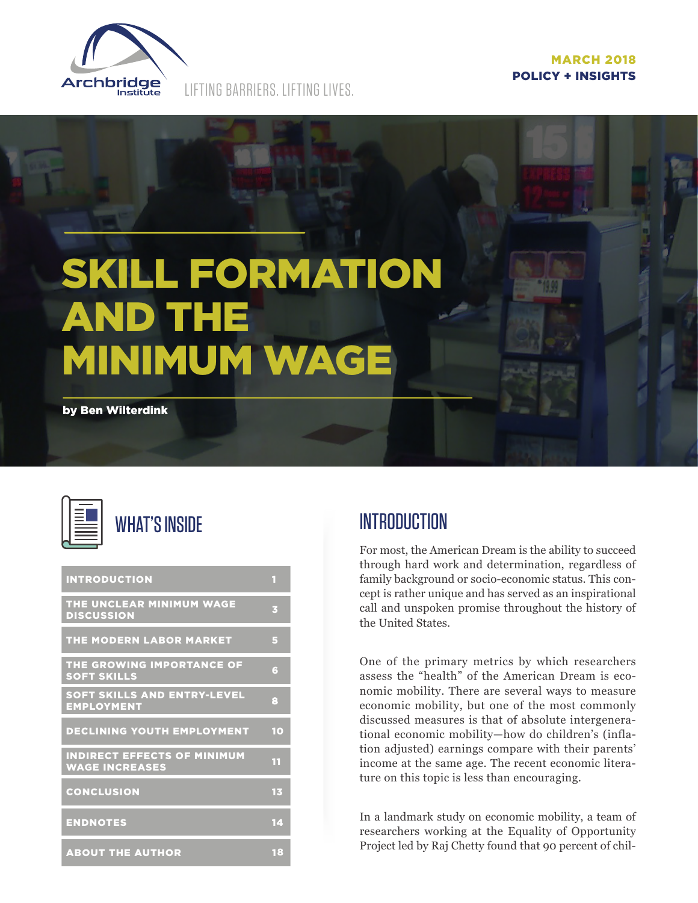

LIFTING BARRIERS. LIFTING LIVES.

# SKILL FORMATION AND THE MINIMUM WAGE by Ben Wilterdink



# WHAT'S INSIDE

| <b>INTRODUCTION</b>                                         | П  |
|-------------------------------------------------------------|----|
| THE UNCLEAR MINIMUM WAGE<br><b>DISCUSSION</b>               | B  |
| THE MODERN LABOR MARKET                                     | 5  |
| THE GROWING IMPORTANCE OF<br><b>SOFT SKILLS</b>             | G  |
| SOFT SKILLS AND ENTRY-LEVEL<br><b>EMPLOYMENT</b>            | 8  |
|                                                             |    |
| <b>DECLINING YOUTH EMPLOYMENT</b>                           | 10 |
| <b>INDIRECT EFFECTS OF MINIMUM</b><br><b>WAGE INCREASES</b> | 11 |
| <b>CONCLUSION</b>                                           | 13 |
| <b>ENDNOTES</b>                                             | 14 |

# **INTRODUCTION**

For most, the American Dream is the ability to succeed through hard work and determination, regardless of family background or socio-economic status. This concept is rather unique and has served as an inspirational call and unspoken promise throughout the history of the United States.

One of the primary metrics by which researchers assess the "health" of the American Dream is economic mobility. There are several ways to measure economic mobility, but one of the most commonly discussed measures is that of absolute intergenerational economic mobility—how do children's (inflation adjusted) earnings compare with their parents' income at the same age. The recent economic literature on this topic is less than encouraging.

In a landmark study on economic mobility, a team of researchers working at the Equality of Opportunity Project led by Raj Chetty found that 90 percent of chil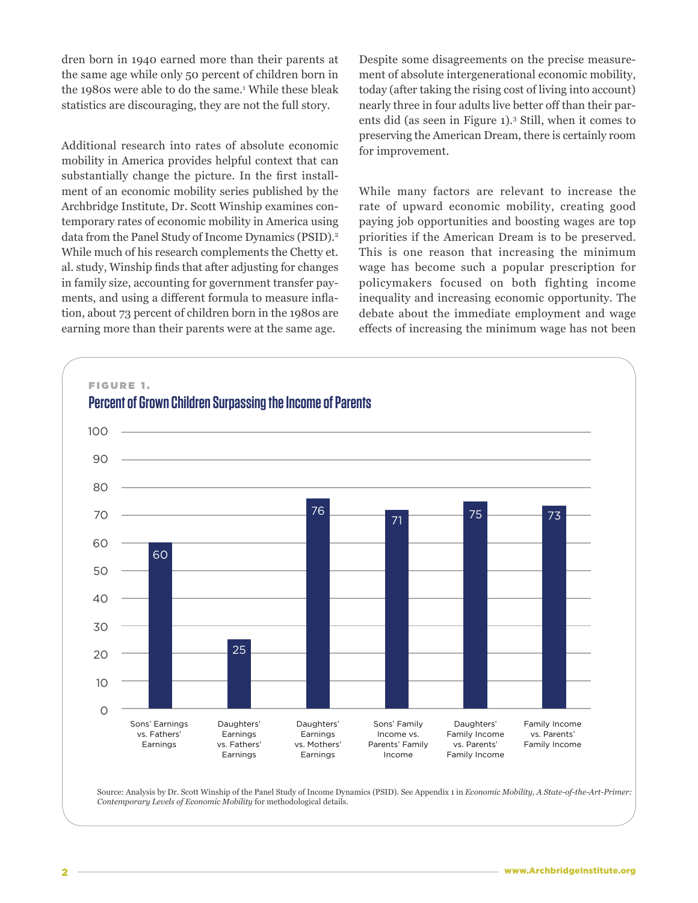dren born in 1940 earned more than their parents at the same age while only 50 percent of children born in the 1980s were able to do the same.<sup>1</sup> While these bleak statistics are discouraging, they are not the full story.

Additional research into rates of absolute economic mobility in America provides helpful context that can substantially change the picture. In the first installment of an economic mobility series published by the Archbridge Institute, Dr. Scott Winship examines contemporary rates of economic mobility in America using data from the Panel Study of Income Dynamics (PSID).<sup>2</sup> While much of his research complements the Chetty et. al. study, Winship finds that after adjusting for changes in family size, accounting for government transfer payments, and using a different formula to measure inflation, about 73 percent of children born in the 1980s are earning more than their parents were at the same age.

Despite some disagreements on the precise measurement of absolute intergenerational economic mobility, today (after taking the rising cost of living into account) nearly three in four adults live better off than their parents did (as seen in Figure 1).3 Still, when it comes to preserving the American Dream, there is certainly room for improvement.

While many factors are relevant to increase the rate of upward economic mobility, creating good paying job opportunities and boosting wages are top priorities if the American Dream is to be preserved. This is one reason that increasing the minimum wage has become such a popular prescription for policymakers focused on both fighting income inequality and increasing economic opportunity. The debate about the immediate employment and wage effects of increasing the minimum wage has not been



Source: Analysis by Dr. Scott Winship of the Panel Study of Income Dynamics (PSID). See Appendix 1 in *Economic Mobility, A State-of-the-Art-Primer: Contemporary Levels of Economic Mobility* for methodological details.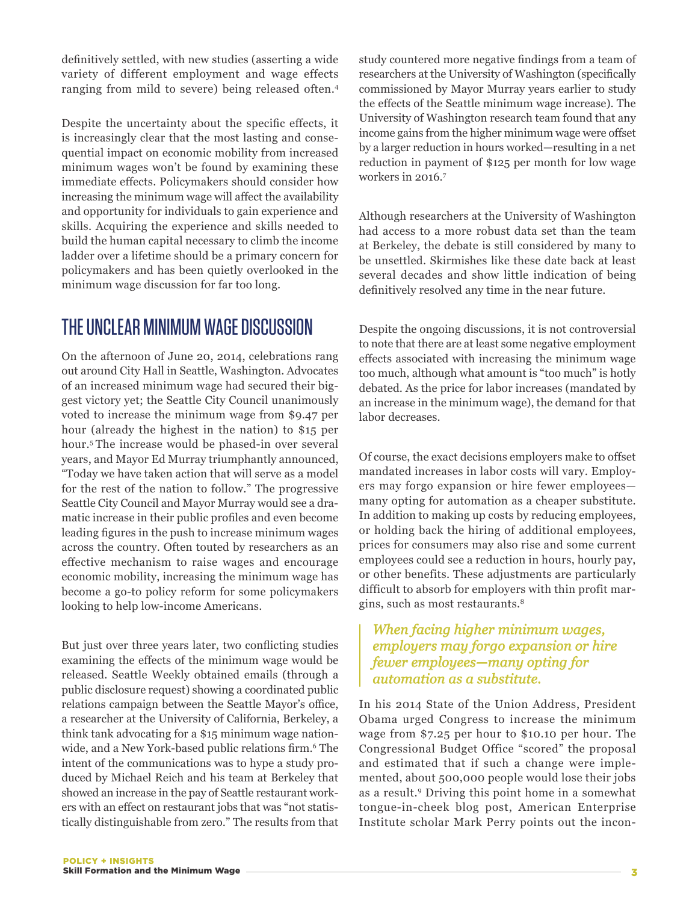definitively settled, with new studies (asserting a wide variety of different employment and wage effects ranging from mild to severe) being released often.4

Despite the uncertainty about the specific effects, it is increasingly clear that the most lasting and consequential impact on economic mobility from increased minimum wages won't be found by examining these immediate effects. Policymakers should consider how increasing the minimum wage will affect the availability and opportunity for individuals to gain experience and skills. Acquiring the experience and skills needed to build the human capital necessary to climb the income ladder over a lifetime should be a primary concern for policymakers and has been quietly overlooked in the minimum wage discussion for far too long.

# THE UNCLEAR MINIMUM WAGE DISCUSSION

On the afternoon of June 20, 2014, celebrations rang out around City Hall in Seattle, Washington. Advocates of an increased minimum wage had secured their biggest victory yet; the Seattle City Council unanimously voted to increase the minimum wage from \$9.47 per hour (already the highest in the nation) to \$15 per hour.5 The increase would be phased-in over several years, and Mayor Ed Murray triumphantly announced, "Today we have taken action that will serve as a model for the rest of the nation to follow." The progressive Seattle City Council and Mayor Murray would see a dramatic increase in their public profiles and even become leading figures in the push to increase minimum wages across the country. Often touted by researchers as an effective mechanism to raise wages and encourage economic mobility, increasing the minimum wage has become a go-to policy reform for some policymakers looking to help low-income Americans.

But just over three years later, two conflicting studies examining the effects of the minimum wage would be released. Seattle Weekly obtained emails (through a public disclosure request) showing a coordinated public relations campaign between the Seattle Mayor's office, a researcher at the University of California, Berkeley, a think tank advocating for a \$15 minimum wage nationwide, and a New York-based public relations firm.<sup>6</sup> The intent of the communications was to hype a study produced by Michael Reich and his team at Berkeley that showed an increase in the pay of Seattle restaurant workers with an effect on restaurant jobs that was "not statistically distinguishable from zero." The results from that

study countered more negative findings from a team of researchers at the University of Washington (specifically commissioned by Mayor Murray years earlier to study the effects of the Seattle minimum wage increase). The University of Washington research team found that any income gains from the higher minimum wage were offset by a larger reduction in hours worked—resulting in a net reduction in payment of \$125 per month for low wage workers in 2016.7

Although researchers at the University of Washington had access to a more robust data set than the team at Berkeley, the debate is still considered by many to be unsettled. Skirmishes like these date back at least several decades and show little indication of being definitively resolved any time in the near future.

Despite the ongoing discussions, it is not controversial to note that there are at least some negative employment effects associated with increasing the minimum wage too much, although what amount is "too much" is hotly debated. As the price for labor increases (mandated by an increase in the minimum wage), the demand for that labor decreases.

Of course, the exact decisions employers make to offset mandated increases in labor costs will vary. Employers may forgo expansion or hire fewer employees many opting for automation as a cheaper substitute. In addition to making up costs by reducing employees, or holding back the hiring of additional employees, prices for consumers may also rise and some current employees could see a reduction in hours, hourly pay, or other benefits. These adjustments are particularly difficult to absorb for employers with thin profit margins, such as most restaurants.8

#### *When facing higher minimum wages, employers may forgo expansion or hire fewer employees—many opting for automation as a substitute.*

In his 2014 State of the Union Address, President Obama urged Congress to increase the minimum wage from \$7.25 per hour to \$10.10 per hour. The Congressional Budget Office "scored" the proposal and estimated that if such a change were implemented, about 500,000 people would lose their jobs as a result.9 Driving this point home in a somewhat tongue-in-cheek blog post, American Enterprise Institute scholar Mark Perry points out the incon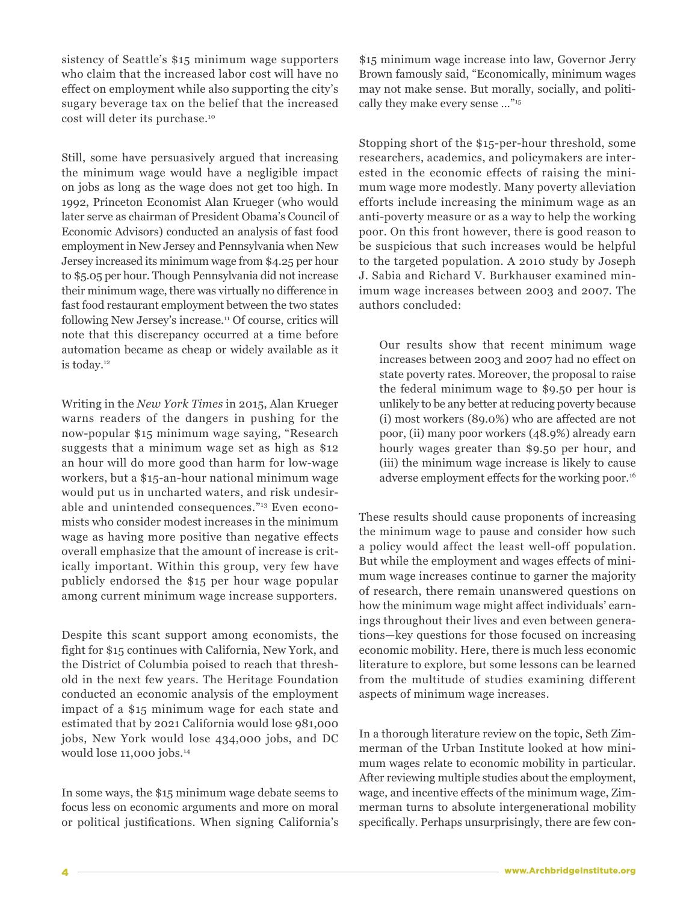sistency of Seattle's \$15 minimum wage supporters who claim that the increased labor cost will have no effect on employment while also supporting the city's sugary beverage tax on the belief that the increased cost will deter its purchase.10

Still, some have persuasively argued that increasing the minimum wage would have a negligible impact on jobs as long as the wage does not get too high. In 1992, Princeton Economist Alan Krueger (who would later serve as chairman of President Obama's Council of Economic Advisors) conducted an analysis of fast food employment in New Jersey and Pennsylvania when New Jersey increased its minimum wage from \$4.25 per hour to \$5.05 per hour. Though Pennsylvania did not increase their minimum wage, there was virtually no difference in fast food restaurant employment between the two states following New Jersey's increase.11 Of course, critics will note that this discrepancy occurred at a time before automation became as cheap or widely available as it is today.12

Writing in the *New York Times* in 2015, Alan Krueger warns readers of the dangers in pushing for the now-popular \$15 minimum wage saying, "Research suggests that a minimum wage set as high as \$12 an hour will do more good than harm for low-wage workers, but a \$15-an-hour national minimum wage would put us in uncharted waters, and risk undesirable and unintended consequences."13 Even economists who consider modest increases in the minimum wage as having more positive than negative effects overall emphasize that the amount of increase is critically important. Within this group, very few have publicly endorsed the \$15 per hour wage popular among current minimum wage increase supporters.

Despite this scant support among economists, the fight for \$15 continues with California, New York, and the District of Columbia poised to reach that threshold in the next few years. The Heritage Foundation conducted an economic analysis of the employment impact of a \$15 minimum wage for each state and estimated that by 2021 California would lose 981,000 jobs, New York would lose 434,000 jobs, and DC would lose 11,000 jobs.<sup>14</sup>

In some ways, the \$15 minimum wage debate seems to focus less on economic arguments and more on moral or political justifications. When signing California's

\$15 minimum wage increase into law, Governor Jerry Brown famously said, "Economically, minimum wages may not make sense. But morally, socially, and politically they make every sense …"15

Stopping short of the \$15-per-hour threshold, some researchers, academics, and policymakers are interested in the economic effects of raising the minimum wage more modestly. Many poverty alleviation efforts include increasing the minimum wage as an anti-poverty measure or as a way to help the working poor. On this front however, there is good reason to be suspicious that such increases would be helpful to the targeted population. A 2010 study by Joseph J. Sabia and Richard V. Burkhauser examined minimum wage increases between 2003 and 2007. The authors concluded:

Our results show that recent minimum wage increases between 2003 and 2007 had no effect on state poverty rates. Moreover, the proposal to raise the federal minimum wage to \$9.50 per hour is unlikely to be any better at reducing poverty because (i) most workers (89.0%) who are affected are not poor, (ii) many poor workers (48.9%) already earn hourly wages greater than \$9.50 per hour, and (iii) the minimum wage increase is likely to cause adverse employment effects for the working poor.<sup>16</sup>

These results should cause proponents of increasing the minimum wage to pause and consider how such a policy would affect the least well-off population. But while the employment and wages effects of minimum wage increases continue to garner the majority of research, there remain unanswered questions on how the minimum wage might affect individuals' earnings throughout their lives and even between generations—key questions for those focused on increasing economic mobility. Here, there is much less economic literature to explore, but some lessons can be learned from the multitude of studies examining different aspects of minimum wage increases.

In a thorough literature review on the topic, Seth Zimmerman of the Urban Institute looked at how minimum wages relate to economic mobility in particular. After reviewing multiple studies about the employment, wage, and incentive effects of the minimum wage, Zimmerman turns to absolute intergenerational mobility specifically. Perhaps unsurprisingly, there are few con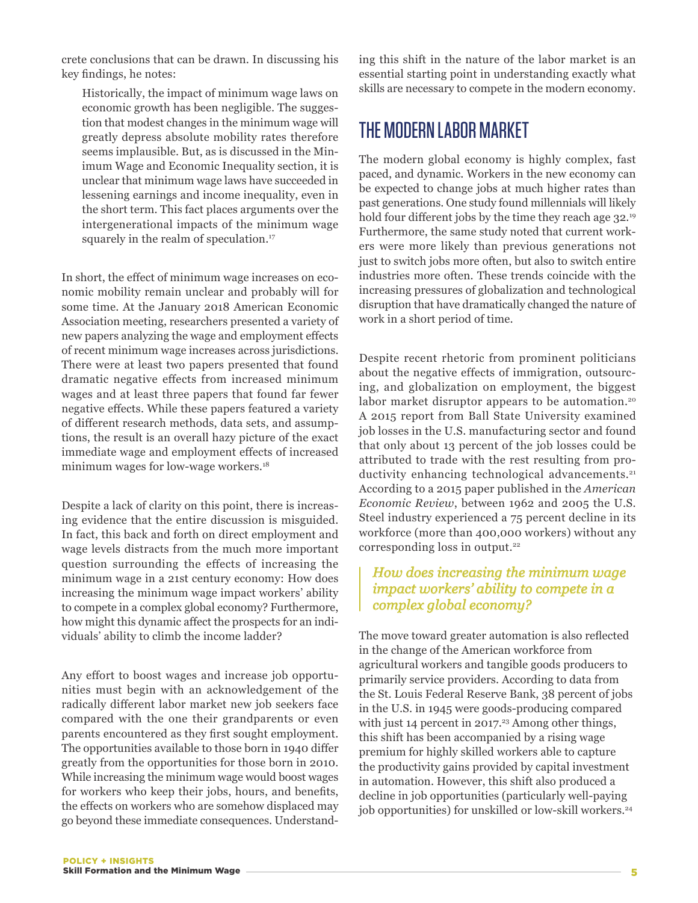crete conclusions that can be drawn. In discussing his key findings, he notes:

Historically, the impact of minimum wage laws on economic growth has been negligible. The suggestion that modest changes in the minimum wage will greatly depress absolute mobility rates therefore seems implausible. But, as is discussed in the Minimum Wage and Economic Inequality section, it is unclear that minimum wage laws have succeeded in lessening earnings and income inequality, even in the short term. This fact places arguments over the intergenerational impacts of the minimum wage squarely in the realm of speculation.<sup>17</sup>

In short, the effect of minimum wage increases on economic mobility remain unclear and probably will for some time. At the January 2018 American Economic Association meeting, researchers presented a variety of new papers analyzing the wage and employment effects of recent minimum wage increases across jurisdictions. There were at least two papers presented that found dramatic negative effects from increased minimum wages and at least three papers that found far fewer negative effects. While these papers featured a variety of different research methods, data sets, and assumptions, the result is an overall hazy picture of the exact immediate wage and employment effects of increased minimum wages for low-wage workers.<sup>18</sup>

Despite a lack of clarity on this point, there is increasing evidence that the entire discussion is misguided. In fact, this back and forth on direct employment and wage levels distracts from the much more important question surrounding the effects of increasing the minimum wage in a 21st century economy: How does increasing the minimum wage impact workers' ability to compete in a complex global economy? Furthermore, how might this dynamic affect the prospects for an individuals' ability to climb the income ladder?

Any effort to boost wages and increase job opportunities must begin with an acknowledgement of the radically different labor market new job seekers face compared with the one their grandparents or even parents encountered as they first sought employment. The opportunities available to those born in 1940 differ greatly from the opportunities for those born in 2010. While increasing the minimum wage would boost wages for workers who keep their jobs, hours, and benefits, the effects on workers who are somehow displaced may go beyond these immediate consequences. Understanding this shift in the nature of the labor market is an essential starting point in understanding exactly what skills are necessary to compete in the modern economy.

# THE MODERN LABOR MARKET

The modern global economy is highly complex, fast paced, and dynamic. Workers in the new economy can be expected to change jobs at much higher rates than past generations. One study found millennials will likely hold four different jobs by the time they reach age 32.<sup>19</sup> Furthermore, the same study noted that current workers were more likely than previous generations not just to switch jobs more often, but also to switch entire industries more often. These trends coincide with the increasing pressures of globalization and technological disruption that have dramatically changed the nature of work in a short period of time.

Despite recent rhetoric from prominent politicians about the negative effects of immigration, outsourcing, and globalization on employment, the biggest labor market disruptor appears to be automation.<sup>20</sup> A 2015 report from Ball State University examined job losses in the U.S. manufacturing sector and found that only about 13 percent of the job losses could be attributed to trade with the rest resulting from productivity enhancing technological advancements.<sup>21</sup> According to a 2015 paper published in the *American Economic Review*, between 1962 and 2005 the U.S. Steel industry experienced a 75 percent decline in its workforce (more than 400,000 workers) without any corresponding loss in output.<sup>22</sup>

#### *How does increasing the minimum wage impact workers' ability to compete in a complex global economy?*

The move toward greater automation is also reflected in the change of the American workforce from agricultural workers and tangible goods producers to primarily service providers. According to data from the St. Louis Federal Reserve Bank, 38 percent of jobs in the U.S. in 1945 were goods-producing compared with just 14 percent in 2017.<sup>23</sup> Among other things, this shift has been accompanied by a rising wage premium for highly skilled workers able to capture the productivity gains provided by capital investment in automation. However, this shift also produced a decline in job opportunities (particularly well-paying job opportunities) for unskilled or low-skill workers.<sup>24</sup>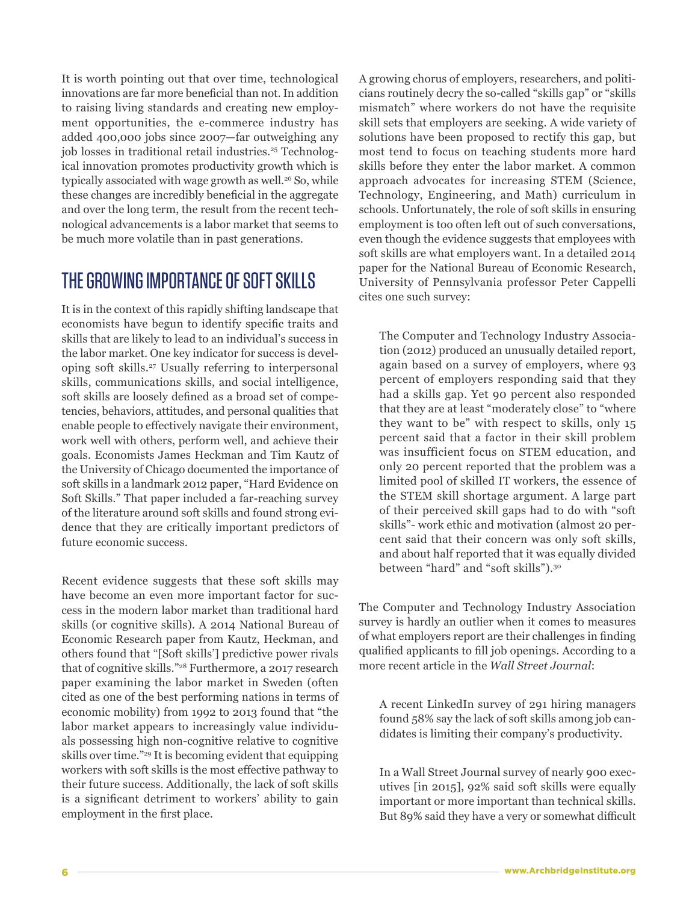It is worth pointing out that over time, technological innovations are far more beneficial than not. In addition to raising living standards and creating new employment opportunities, the e-commerce industry has added 400,000 jobs since 2007—far outweighing any job losses in traditional retail industries.<sup>25</sup> Technological innovation promotes productivity growth which is typically associated with wage growth as well.<sup>26</sup> So, while these changes are incredibly beneficial in the aggregate and over the long term, the result from the recent technological advancements is a labor market that seems to be much more volatile than in past generations.

# THE GROWING IMPORTANCE OF SOFT SKILLS

It is in the context of this rapidly shifting landscape that economists have begun to identify specific traits and skills that are likely to lead to an individual's success in the labor market. One key indicator for success is developing soft skills.27 Usually referring to interpersonal skills, communications skills, and social intelligence, soft skills are loosely defined as a broad set of competencies, behaviors, attitudes, and personal qualities that enable people to effectively navigate their environment, work well with others, perform well, and achieve their goals. Economists James Heckman and Tim Kautz of the University of Chicago documented the importance of soft skills in a landmark 2012 paper, "Hard Evidence on Soft Skills." That paper included a far-reaching survey of the literature around soft skills and found strong evidence that they are critically important predictors of future economic success.

Recent evidence suggests that these soft skills may have become an even more important factor for success in the modern labor market than traditional hard skills (or cognitive skills). A 2014 National Bureau of Economic Research paper from Kautz, Heckman, and others found that "[Soft skills'] predictive power rivals that of cognitive skills."28 Furthermore, a 2017 research paper examining the labor market in Sweden (often cited as one of the best performing nations in terms of economic mobility) from 1992 to 2013 found that "the labor market appears to increasingly value individuals possessing high non-cognitive relative to cognitive skills over time."29 It is becoming evident that equipping workers with soft skills is the most effective pathway to their future success. Additionally, the lack of soft skills is a significant detriment to workers' ability to gain employment in the first place.

A growing chorus of employers, researchers, and politicians routinely decry the so-called "skills gap" or "skills mismatch" where workers do not have the requisite skill sets that employers are seeking. A wide variety of solutions have been proposed to rectify this gap, but most tend to focus on teaching students more hard skills before they enter the labor market. A common approach advocates for increasing STEM (Science, Technology, Engineering, and Math) curriculum in schools. Unfortunately, the role of soft skills in ensuring employment is too often left out of such conversations, even though the evidence suggests that employees with soft skills are what employers want. In a detailed 2014 paper for the National Bureau of Economic Research, University of Pennsylvania professor Peter Cappelli cites one such survey:

The Computer and Technology Industry Association (2012) produced an unusually detailed report, again based on a survey of employers, where 93 percent of employers responding said that they had a skills gap. Yet 90 percent also responded that they are at least "moderately close" to "where they want to be" with respect to skills, only 15 percent said that a factor in their skill problem was insufficient focus on STEM education, and only 20 percent reported that the problem was a limited pool of skilled IT workers, the essence of the STEM skill shortage argument. A large part of their perceived skill gaps had to do with "soft skills"- work ethic and motivation (almost 20 percent said that their concern was only soft skills, and about half reported that it was equally divided between "hard" and "soft skills").30

The Computer and Technology Industry Association survey is hardly an outlier when it comes to measures of what employers report are their challenges in finding qualified applicants to fill job openings. According to a more recent article in the *Wall Street Journal*:

A recent LinkedIn survey of 291 hiring managers found 58% say the lack of soft skills among job candidates is limiting their company's productivity.

In a Wall Street Journal survey of nearly 900 executives [in 2015], 92% said soft skills were equally important or more important than technical skills. But 89% said they have a very or somewhat difficult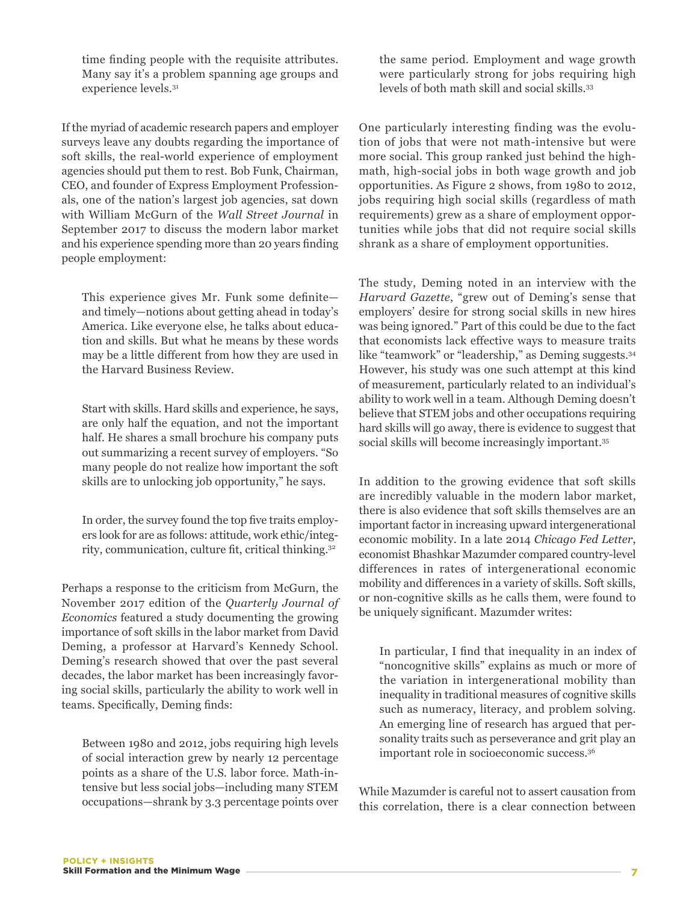time finding people with the requisite attributes. Many say it's a problem spanning age groups and experience levels.31

If the myriad of academic research papers and employer surveys leave any doubts regarding the importance of soft skills, the real-world experience of employment agencies should put them to rest. Bob Funk, Chairman, CEO, and founder of Express Employment Professionals, one of the nation's largest job agencies, sat down with William McGurn of the *Wall Street Journal* in September 2017 to discuss the modern labor market and his experience spending more than 20 years finding people employment:

This experience gives Mr. Funk some definite and timely—notions about getting ahead in today's America. Like everyone else, he talks about education and skills. But what he means by these words may be a little different from how they are used in the Harvard Business Review.

Start with skills. Hard skills and experience, he says, are only half the equation, and not the important half. He shares a small brochure his company puts out summarizing a recent survey of employers. "So many people do not realize how important the soft skills are to unlocking job opportunity," he says.

In order, the survey found the top five traits employers look for are as follows: attitude, work ethic/integrity, communication, culture fit, critical thinking.<sup>32</sup>

Perhaps a response to the criticism from McGurn, the November 2017 edition of the *Quarterly Journal of Economics* featured a study documenting the growing importance of soft skills in the labor market from David Deming, a professor at Harvard's Kennedy School. Deming's research showed that over the past several decades, the labor market has been increasingly favoring social skills, particularly the ability to work well in teams. Specifically, Deming finds:

Between 1980 and 2012, jobs requiring high levels of social interaction grew by nearly 12 percentage points as a share of the U.S. labor force. Math-intensive but less social jobs—including many STEM occupations—shrank by 3.3 percentage points over the same period. Employment and wage growth were particularly strong for jobs requiring high levels of both math skill and social skills.33

One particularly interesting finding was the evolution of jobs that were not math-intensive but were more social. This group ranked just behind the highmath, high-social jobs in both wage growth and job opportunities. As Figure 2 shows, from 1980 to 2012, jobs requiring high social skills (regardless of math requirements) grew as a share of employment opportunities while jobs that did not require social skills shrank as a share of employment opportunities.

The study, Deming noted in an interview with the *Harvard Gazette*, "grew out of Deming's sense that employers' desire for strong social skills in new hires was being ignored." Part of this could be due to the fact that economists lack effective ways to measure traits like "teamwork" or "leadership," as Deming suggests.<sup>34</sup> However, his study was one such attempt at this kind of measurement, particularly related to an individual's ability to work well in a team. Although Deming doesn't believe that STEM jobs and other occupations requiring hard skills will go away, there is evidence to suggest that social skills will become increasingly important.35

In addition to the growing evidence that soft skills are incredibly valuable in the modern labor market, there is also evidence that soft skills themselves are an important factor in increasing upward intergenerational economic mobility. In a late 2014 *Chicago Fed Letter*, economist Bhashkar Mazumder compared country-level differences in rates of intergenerational economic mobility and differences in a variety of skills. Soft skills, or non-cognitive skills as he calls them, were found to be uniquely significant. Mazumder writes:

In particular, I find that inequality in an index of "noncognitive skills" explains as much or more of the variation in intergenerational mobility than inequality in traditional measures of cognitive skills such as numeracy, literacy, and problem solving. An emerging line of research has argued that personality traits such as perseverance and grit play an important role in socioeconomic success.36

While Mazumder is careful not to assert causation from this correlation, there is a clear connection between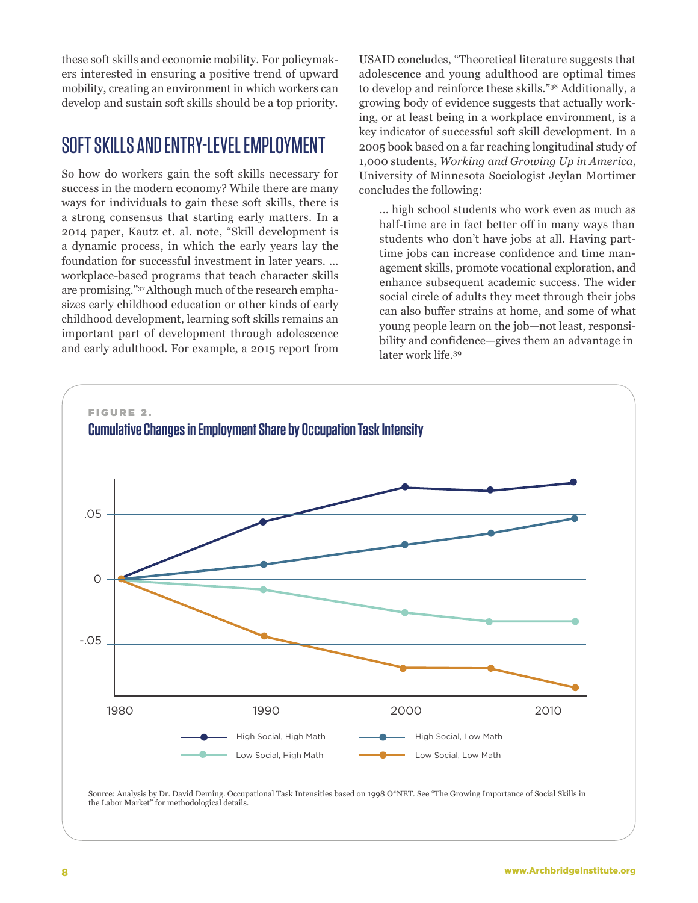these soft skills and economic mobility. For policymakers interested in ensuring a positive trend of upward mobility, creating an environment in which workers can develop and sustain soft skills should be a top priority.

# SOFT SKILLS AND ENTRY-LEVEL EMPLOYMENT

So how do workers gain the soft skills necessary for success in the modern economy? While there are many ways for individuals to gain these soft skills, there is a strong consensus that starting early matters. In a 2014 paper, Kautz et. al. note, "Skill development is a dynamic process, in which the early years lay the foundation for successful investment in later years. … workplace-based programs that teach character skills are promising."37 Although much of the research emphasizes early childhood education or other kinds of early childhood development, learning soft skills remains an important part of development through adolescence and early adulthood. For example, a 2015 report from

USAID concludes, "Theoretical literature suggests that adolescence and young adulthood are optimal times to develop and reinforce these skills."38 Additionally, a growing body of evidence suggests that actually working, or at least being in a workplace environment, is a key indicator of successful soft skill development. In a 2005 book based on a far reaching longitudinal study of 1,000 students, *Working and Growing Up in America*, University of Minnesota Sociologist Jeylan Mortimer concludes the following:

… high school students who work even as much as half-time are in fact better off in many ways than students who don't have jobs at all. Having parttime jobs can increase confidence and time management skills, promote vocational exploration, and enhance subsequent academic success. The wider social circle of adults they meet through their jobs can also buffer strains at home, and some of what young people learn on the job—not least, responsibility and confidence—gives them an advantage in later work life.<sup>39</sup>

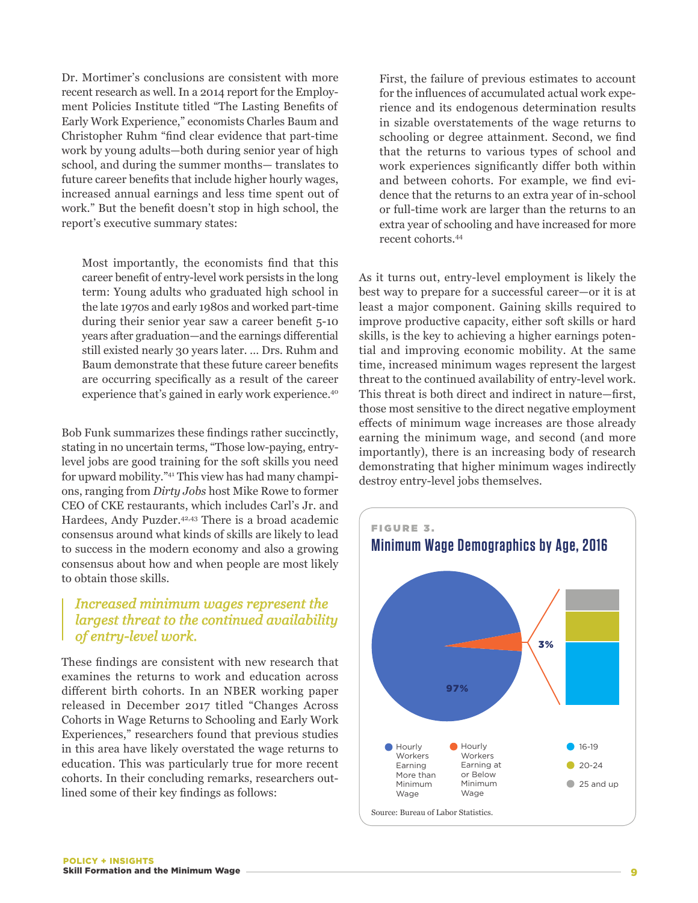Dr. Mortimer's conclusions are consistent with more recent research as well. In a 2014 report for the Employment Policies Institute titled "The Lasting Benefits of Early Work Experience," economists Charles Baum and Christopher Ruhm "find clear evidence that part-time work by young adults—both during senior year of high school, and during the summer months— translates to future career benefits that include higher hourly wages, increased annual earnings and less time spent out of work." But the benefit doesn't stop in high school, the report's executive summary states:

Most importantly, the economists find that this career benefit of entry-level work persists in the long term: Young adults who graduated high school in the late 1970s and early 1980s and worked part-time during their senior year saw a career benefit 5-10 years after graduation—and the earnings differential still existed nearly 30 years later. … Drs. Ruhm and Baum demonstrate that these future career benefits are occurring specifically as a result of the career experience that's gained in early work experience.40

Bob Funk summarizes these findings rather succinctly, stating in no uncertain terms, "Those low-paying, entrylevel jobs are good training for the soft skills you need for upward mobility."41 This view has had many champions, ranging from *Dirty Jobs* host Mike Rowe to former CEO of CKE restaurants, which includes Carl's Jr. and Hardees, Andy Puzder.42,43 There is a broad academic consensus around what kinds of skills are likely to lead to success in the modern economy and also a growing consensus about how and when people are most likely to obtain those skills.

#### *Increased minimum wages represent the largest threat to the continued availability of entry-level work.*

These findings are consistent with new research that examines the returns to work and education across different birth cohorts. In an NBER working paper released in December 2017 titled "Changes Across Cohorts in Wage Returns to Schooling and Early Work Experiences," researchers found that previous studies in this area have likely overstated the wage returns to education. This was particularly true for more recent cohorts. In their concluding remarks, researchers outlined some of their key findings as follows:

First, the failure of previous estimates to account for the influences of accumulated actual work experience and its endogenous determination results in sizable overstatements of the wage returns to schooling or degree attainment. Second, we find that the returns to various types of school and work experiences significantly differ both within and between cohorts. For example, we find evidence that the returns to an extra year of in-school or full-time work are larger than the returns to an extra year of schooling and have increased for more recent cohorts.44

As it turns out, entry-level employment is likely the best way to prepare for a successful career—or it is at least a major component. Gaining skills required to improve productive capacity, either soft skills or hard skills, is the key to achieving a higher earnings potential and improving economic mobility. At the same time, increased minimum wages represent the largest threat to the continued availability of entry-level work. This threat is both direct and indirect in nature—first, those most sensitive to the direct negative employment effects of minimum wage increases are those already earning the minimum wage, and second (and more importantly), there is an increasing body of research demonstrating that higher minimum wages indirectly destroy entry-level jobs themselves.

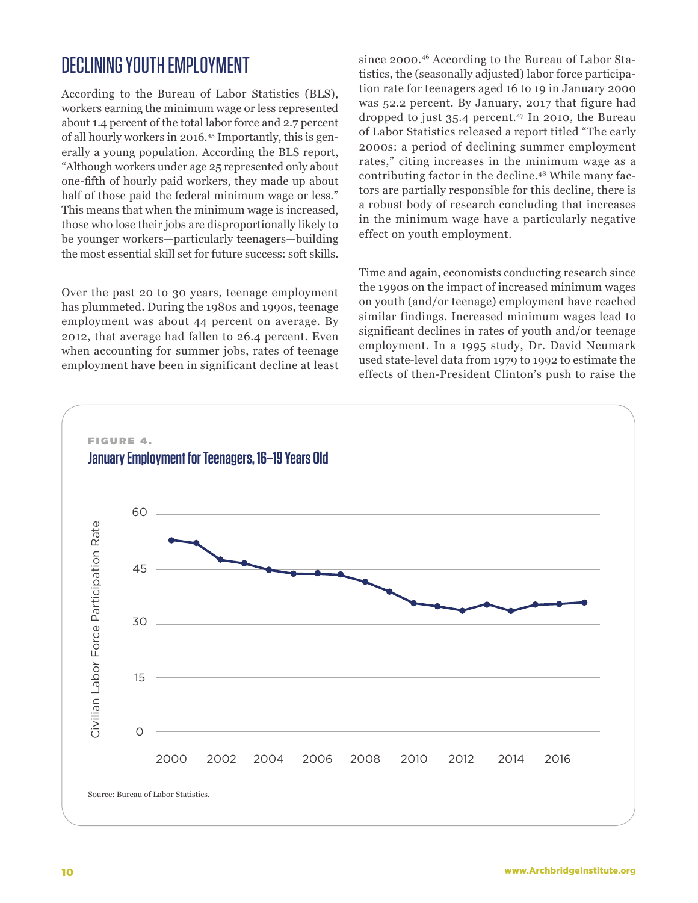# DECLINING YOUTH EMPLOYMENT

According to the Bureau of Labor Statistics (BLS), workers earning the minimum wage or less represented about 1.4 percent of the total labor force and 2.7 percent of all hourly workers in 2016.45 Importantly, this is generally a young population. According the BLS report, "Although workers under age 25 represented only about one-fifth of hourly paid workers, they made up about half of those paid the federal minimum wage or less." This means that when the minimum wage is increased, those who lose their jobs are disproportionally likely to be younger workers—particularly teenagers—building the most essential skill set for future success: soft skills.

Over the past 20 to 30 years, teenage employment has plummeted. During the 1980s and 1990s, teenage employment was about 44 percent on average. By 2012, that average had fallen to 26.4 percent. Even when accounting for summer jobs, rates of teenage employment have been in significant decline at least since 2000.46 According to the Bureau of Labor Statistics, the (seasonally adjusted) labor force participation rate for teenagers aged 16 to 19 in January 2000 was 52.2 percent. By January, 2017 that figure had dropped to just 35.4 percent.47 In 2010, the Bureau of Labor Statistics released a report titled "The early 2000s: a period of declining summer employment rates," citing increases in the minimum wage as a contributing factor in the decline.48 While many factors are partially responsible for this decline, there is a robust body of research concluding that increases in the minimum wage have a particularly negative effect on youth employment.

Time and again, economists conducting research since the 1990s on the impact of increased minimum wages on youth (and/or teenage) employment have reached similar findings. Increased minimum wages lead to significant declines in rates of youth and/or teenage employment. In a 1995 study, Dr. David Neumark used state-level data from 1979 to 1992 to estimate the effects of then-President Clinton's push to raise the

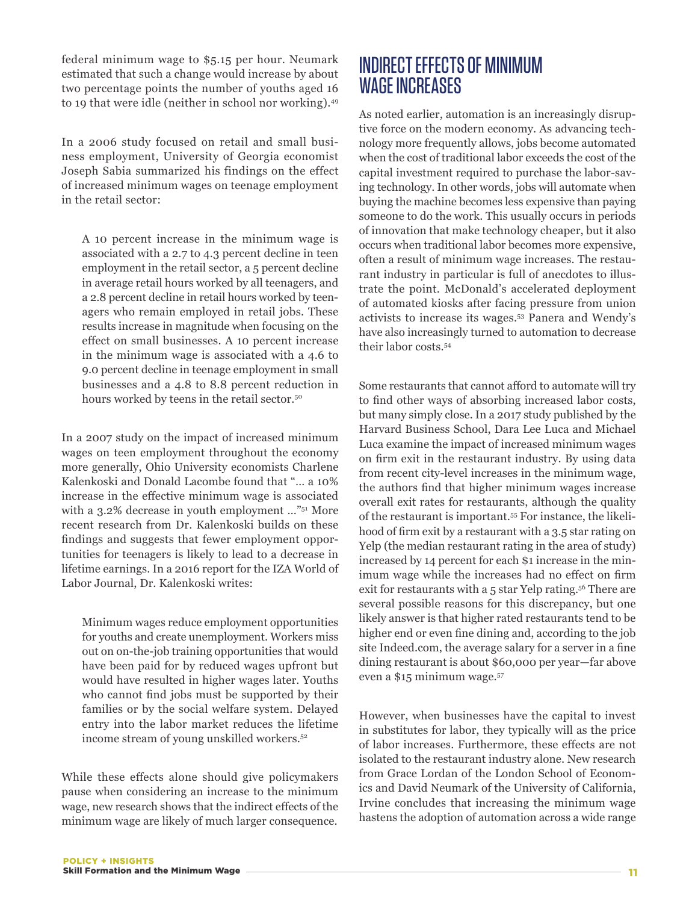federal minimum wage to \$5.15 per hour. Neumark estimated that such a change would increase by about two percentage points the number of youths aged 16 to 19 that were idle (neither in school nor working).49

In a 2006 study focused on retail and small business employment, University of Georgia economist Joseph Sabia summarized his findings on the effect of increased minimum wages on teenage employment in the retail sector:

A 10 percent increase in the minimum wage is associated with a 2.7 to 4.3 percent decline in teen employment in the retail sector, a 5 percent decline in average retail hours worked by all teenagers, and a 2.8 percent decline in retail hours worked by teenagers who remain employed in retail jobs. These results increase in magnitude when focusing on the effect on small businesses. A 10 percent increase in the minimum wage is associated with a 4.6 to 9.0 percent decline in teenage employment in small businesses and a 4.8 to 8.8 percent reduction in hours worked by teens in the retail sector.<sup>50</sup>

In a 2007 study on the impact of increased minimum wages on teen employment throughout the economy more generally, Ohio University economists Charlene Kalenkoski and Donald Lacombe found that "… a 10% increase in the effective minimum wage is associated with a 3.2% decrease in youth employment ..."<sup>51</sup> More recent research from Dr. Kalenkoski builds on these findings and suggests that fewer employment opportunities for teenagers is likely to lead to a decrease in lifetime earnings. In a 2016 report for the IZA World of Labor Journal, Dr. Kalenkoski writes:

Minimum wages reduce employment opportunities for youths and create unemployment. Workers miss out on on-the-job training opportunities that would have been paid for by reduced wages upfront but would have resulted in higher wages later. Youths who cannot find jobs must be supported by their families or by the social welfare system. Delayed entry into the labor market reduces the lifetime income stream of young unskilled workers.<sup>52</sup>

While these effects alone should give policymakers pause when considering an increase to the minimum wage, new research shows that the indirect effects of the minimum wage are likely of much larger consequence.

### INDIRECT EFFECTS OF MINIMUM WAGE INCREASES

As noted earlier, automation is an increasingly disruptive force on the modern economy. As advancing technology more frequently allows, jobs become automated when the cost of traditional labor exceeds the cost of the capital investment required to purchase the labor-saving technology. In other words, jobs will automate when buying the machine becomes less expensive than paying someone to do the work. This usually occurs in periods of innovation that make technology cheaper, but it also occurs when traditional labor becomes more expensive, often a result of minimum wage increases. The restaurant industry in particular is full of anecdotes to illustrate the point. McDonald's accelerated deployment of automated kiosks after facing pressure from union activists to increase its wages.53 Panera and Wendy's have also increasingly turned to automation to decrease their labor costs.54

Some restaurants that cannot afford to automate will try to find other ways of absorbing increased labor costs, but many simply close. In a 2017 study published by the Harvard Business School, Dara Lee Luca and Michael Luca examine the impact of increased minimum wages on firm exit in the restaurant industry. By using data from recent city-level increases in the minimum wage, the authors find that higher minimum wages increase overall exit rates for restaurants, although the quality of the restaurant is important.55 For instance, the likelihood of firm exit by a restaurant with a 3.5 star rating on Yelp (the median restaurant rating in the area of study) increased by 14 percent for each \$1 increase in the minimum wage while the increases had no effect on firm exit for restaurants with a 5 star Yelp rating.<sup>56</sup> There are several possible reasons for this discrepancy, but one likely answer is that higher rated restaurants tend to be higher end or even fine dining and, according to the job site Indeed.com, the average salary for a server in a fine dining restaurant is about \$60,000 per year—far above even a \$15 minimum wage.57

However, when businesses have the capital to invest in substitutes for labor, they typically will as the price of labor increases. Furthermore, these effects are not isolated to the restaurant industry alone. New research from Grace Lordan of the London School of Economics and David Neumark of the University of California, Irvine concludes that increasing the minimum wage hastens the adoption of automation across a wide range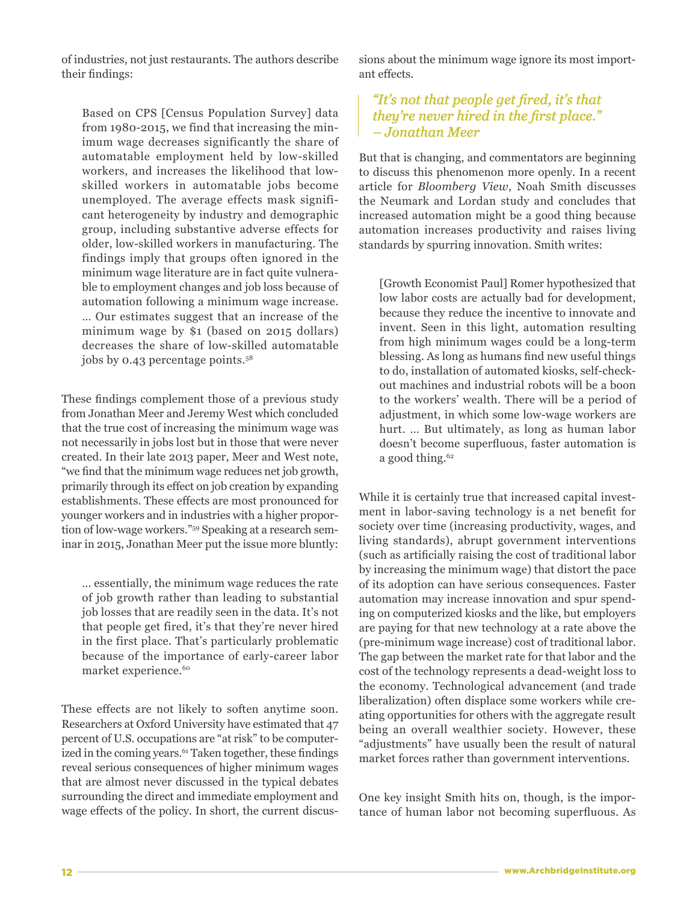of industries, not just restaurants. The authors describe their findings:

Based on CPS [Census Population Survey] data from 1980-2015, we find that increasing the minimum wage decreases significantly the share of automatable employment held by low-skilled workers, and increases the likelihood that lowskilled workers in automatable jobs become unemployed. The average effects mask significant heterogeneity by industry and demographic group, including substantive adverse effects for older, low-skilled workers in manufacturing. The findings imply that groups often ignored in the minimum wage literature are in fact quite vulnerable to employment changes and job loss because of automation following a minimum wage increase. … Our estimates suggest that an increase of the minimum wage by \$1 (based on 2015 dollars) decreases the share of low-skilled automatable jobs by 0.43 percentage points.<sup>58</sup>

These findings complement those of a previous study from Jonathan Meer and Jeremy West which concluded that the true cost of increasing the minimum wage was not necessarily in jobs lost but in those that were never created. In their late 2013 paper, Meer and West note, "we find that the minimum wage reduces net job growth, primarily through its effect on job creation by expanding establishments. These effects are most pronounced for younger workers and in industries with a higher proportion of low-wage workers."59 Speaking at a research seminar in 2015, Jonathan Meer put the issue more bluntly:

… essentially, the minimum wage reduces the rate of job growth rather than leading to substantial job losses that are readily seen in the data. It's not that people get fired, it's that they're never hired in the first place. That's particularly problematic because of the importance of early-career labor market experience.<sup>60</sup>

These effects are not likely to soften anytime soon. Researchers at Oxford University have estimated that 47 percent of U.S. occupations are "at risk" to be computerized in the coming years.<sup>61</sup> Taken together, these findings reveal serious consequences of higher minimum wages that are almost never discussed in the typical debates surrounding the direct and immediate employment and wage effects of the policy. In short, the current discussions about the minimum wage ignore its most important effects.

#### *"It's not that people get fired, it's that they're never hired in the first place." – Jonathan Meer*

But that is changing, and commentators are beginning to discuss this phenomenon more openly. In a recent article for *Bloomberg View*, Noah Smith discusses the Neumark and Lordan study and concludes that increased automation might be a good thing because automation increases productivity and raises living standards by spurring innovation. Smith writes:

[Growth Economist Paul] Romer hypothesized that low labor costs are actually bad for development, because they reduce the incentive to innovate and invent. Seen in this light, automation resulting from high minimum wages could be a long-term blessing. As long as humans find new useful things to do, installation of automated kiosks, self-checkout machines and industrial robots will be a boon to the workers' wealth. There will be a period of adjustment, in which some low-wage workers are hurt. … But ultimately, as long as human labor doesn't become superfluous, faster automation is a good thing.<sup>62</sup>

While it is certainly true that increased capital investment in labor-saving technology is a net benefit for society over time (increasing productivity, wages, and living standards), abrupt government interventions (such as artificially raising the cost of traditional labor by increasing the minimum wage) that distort the pace of its adoption can have serious consequences. Faster automation may increase innovation and spur spending on computerized kiosks and the like, but employers are paying for that new technology at a rate above the (pre-minimum wage increase) cost of traditional labor. The gap between the market rate for that labor and the cost of the technology represents a dead-weight loss to the economy. Technological advancement (and trade liberalization) often displace some workers while creating opportunities for others with the aggregate result being an overall wealthier society. However, these "adjustments" have usually been the result of natural market forces rather than government interventions.

One key insight Smith hits on, though, is the importance of human labor not becoming superfluous. As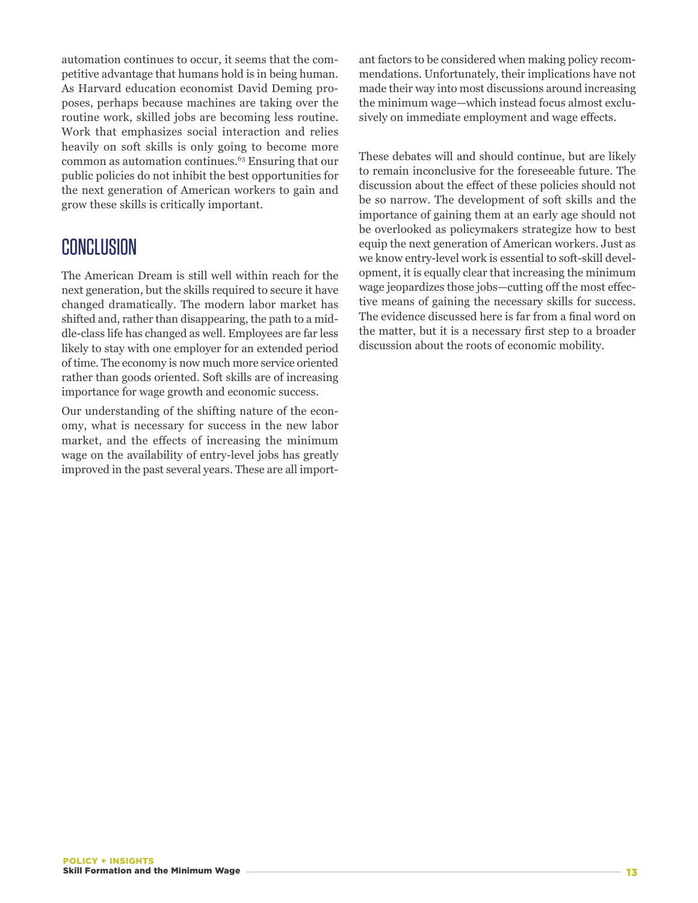automation continues to occur, it seems that the competitive advantage that humans hold is in being human. As Harvard education economist David Deming proposes, perhaps because machines are taking over the routine work, skilled jobs are becoming less routine. Work that emphasizes social interaction and relies heavily on soft skills is only going to become more common as automation continues.63 Ensuring that our public policies do not inhibit the best opportunities for the next generation of American workers to gain and grow these skills is critically important.

# CONCLUSION

The American Dream is still well within reach for the next generation, but the skills required to secure it have changed dramatically. The modern labor market has shifted and, rather than disappearing, the path to a middle-class life has changed as well. Employees are far less likely to stay with one employer for an extended period of time. The economy is now much more service oriented rather than goods oriented. Soft skills are of increasing importance for wage growth and economic success.

Our understanding of the shifting nature of the economy, what is necessary for success in the new labor market, and the effects of increasing the minimum wage on the availability of entry-level jobs has greatly improved in the past several years. These are all important factors to be considered when making policy recommendations. Unfortunately, their implications have not made their way into most discussions around increasing the minimum wage—which instead focus almost exclusively on immediate employment and wage effects.

These debates will and should continue, but are likely to remain inconclusive for the foreseeable future. The discussion about the effect of these policies should not be so narrow. The development of soft skills and the importance of gaining them at an early age should not be overlooked as policymakers strategize how to best equip the next generation of American workers. Just as we know entry-level work is essential to soft-skill development, it is equally clear that increasing the minimum wage jeopardizes those jobs—cutting off the most effective means of gaining the necessary skills for success. The evidence discussed here is far from a final word on the matter, but it is a necessary first step to a broader discussion about the roots of economic mobility.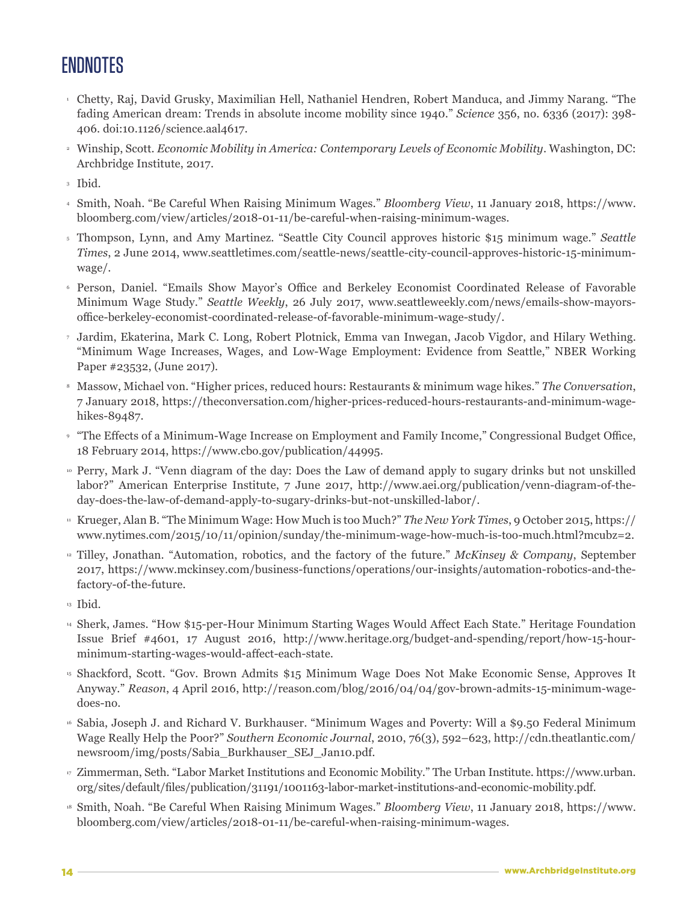# **ENDNOTES**

- <sup>1</sup> Chetty, Raj, David Grusky, Maximilian Hell, Nathaniel Hendren, Robert Manduca, and Jimmy Narang. "The fading American dream: Trends in absolute income mobility since 1940." *Science* 356, no. 6336 (2017): 398- 406. doi:10.1126/science.aal4617.
- <sup>2</sup> Winship, Scott. *Economic Mobility in America: Contemporary Levels of Economic Mobility*. Washington, DC: Archbridge Institute, 2017.
- <sup>3</sup> Ibid.
- <sup>4</sup> Smith, Noah. "Be Careful When Raising Minimum Wages." *Bloomberg View*, 11 January 2018, https://www. bloomberg.com/view/articles/2018-01-11/be-careful-when-raising-minimum-wages.
- <sup>5</sup> Thompson, Lynn, and Amy Martinez. "Seattle City Council approves historic \$15 minimum wage." *Seattle Times*, 2 June 2014, www.seattletimes.com/seattle-news/seattle-city-council-approves-historic-15-minimumwage/.
- <sup>6</sup> Person, Daniel. "Emails Show Mayor's Office and Berkeley Economist Coordinated Release of Favorable Minimum Wage Study." *Seattle Weekly*, 26 July 2017, www.seattleweekly.com/news/emails-show-mayorsoffice-berkeley-economist-coordinated-release-of-favorable-minimum-wage-study/.
- <sup>7</sup> Jardim, Ekaterina, Mark C. Long, Robert Plotnick, Emma van Inwegan, Jacob Vigdor, and Hilary Wething. "Minimum Wage Increases, Wages, and Low-Wage Employment: Evidence from Seattle," NBER Working Paper #23532, (June 2017).
- <sup>8</sup> Massow, Michael von. "Higher prices, reduced hours: Restaurants & minimum wage hikes." *The Conversation*, 7 January 2018, https://theconversation.com/higher-prices-reduced-hours-restaurants-and-minimum-wagehikes-89487.
- <sup>9</sup> "The Effects of a Minimum-Wage Increase on Employment and Family Income," Congressional Budget Office, 18 February 2014, https://www.cbo.gov/publication/44995.
- <sup>10</sup> Perry, Mark J. "Venn diagram of the day: Does the Law of demand apply to sugary drinks but not unskilled labor?" American Enterprise Institute, 7 June 2017, http://www.aei.org/publication/venn-diagram-of-theday-does-the-law-of-demand-apply-to-sugary-drinks-but-not-unskilled-labor/.
- <sup>11</sup> Krueger, Alan B. "The Minimum Wage: How Much is too Much?" *The New York Times*, 9 October 2015, https:// www.nytimes.com/2015/10/11/opinion/sunday/the-minimum-wage-how-much-is-too-much.html?mcubz=2.
- <sup>12</sup> Tilley, Jonathan. "Automation, robotics, and the factory of the future." *McKinsey & Company*, September 2017, https://www.mckinsey.com/business-functions/operations/our-insights/automation-robotics-and-thefactory-of-the-future.
- <sup>13</sup> Ibid.
- <sup>14</sup> Sherk, James. "How \$15-per-Hour Minimum Starting Wages Would Affect Each State." Heritage Foundation Issue Brief #4601, 17 August 2016, http://www.heritage.org/budget-and-spending/report/how-15-hourminimum-starting-wages-would-affect-each-state.
- <sup>15</sup> Shackford, Scott. "Gov. Brown Admits \$15 Minimum Wage Does Not Make Economic Sense, Approves It Anyway." *Reason*, 4 April 2016, http://reason.com/blog/2016/04/04/gov-brown-admits-15-minimum-wagedoes-no.
- <sup>16</sup> Sabia, Joseph J. and Richard V. Burkhauser. "Minimum Wages and Poverty: Will a \$9.50 Federal Minimum Wage Really Help the Poor?" *Southern Economic Journal*, 2010, 76(3), 592–623, http://cdn.theatlantic.com/ newsroom/img/posts/Sabia\_Burkhauser\_SEJ\_Jan10.pdf.
- <sup>17</sup> Zimmerman, Seth. "Labor Market Institutions and Economic Mobility." The Urban Institute. https://www.urban. org/sites/default/files/publication/31191/1001163-labor-market-institutions-and-economic-mobility.pdf.
- <sup>18</sup> Smith, Noah. "Be Careful When Raising Minimum Wages." *Bloomberg View*, 11 January 2018, https://www. bloomberg.com/view/articles/2018-01-11/be-careful-when-raising-minimum-wages.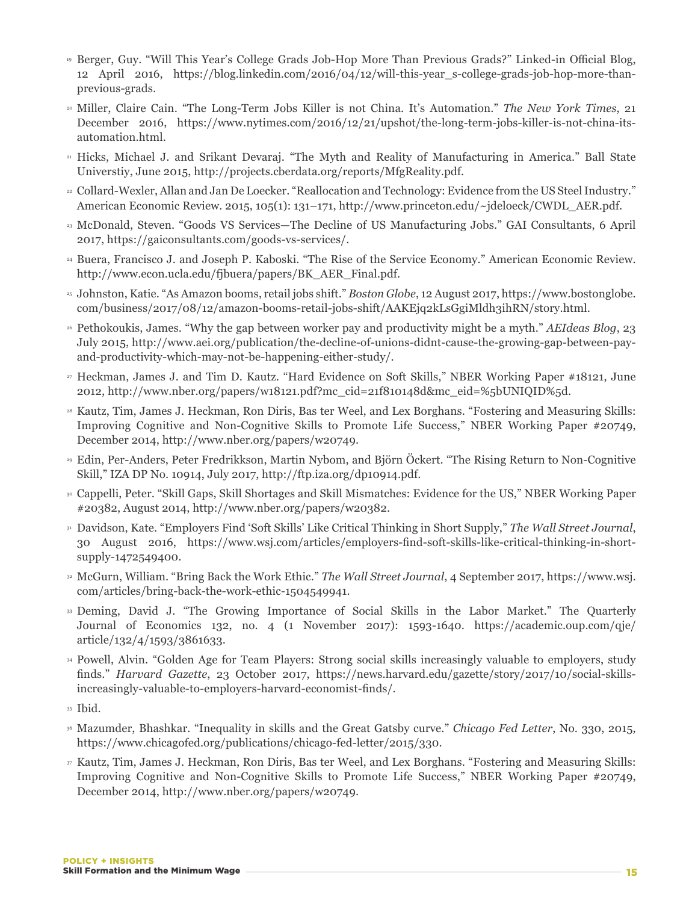- <sup>19</sup> Berger, Guy. "Will This Year's College Grads Job-Hop More Than Previous Grads?" Linked-in Official Blog, 12 April 2016, https://blog.linkedin.com/2016/04/12/will-this-year\_s-college-grads-job-hop-more-thanprevious-grads.
- <sup>20</sup> Miller, Claire Cain. "The Long-Term Jobs Killer is not China. It's Automation." *The New York Times*, 21 December 2016, https://www.nytimes.com/2016/12/21/upshot/the-long-term-jobs-killer-is-not-china-itsautomation.html.
- <sup>21</sup> Hicks, Michael J. and Srikant Devaraj. "The Myth and Reality of Manufacturing in America." Ball State Universtiy, June 2015, http://projects.cberdata.org/reports/MfgReality.pdf.
- <sup>22</sup> Collard-Wexler, Allan and Jan De Loecker. "Reallocation and Technology: Evidence from the US Steel Industry." American Economic Review. 2015, 105(1): 131–171, http://www.princeton.edu/~jdeloeck/CWDL\_AER.pdf.
- <sup>23</sup> McDonald, Steven. "Goods VS Services—The Decline of US Manufacturing Jobs." GAI Consultants, 6 April 2017, https://gaiconsultants.com/goods-vs-services/.
- <sup>24</sup> Buera, Francisco J. and Joseph P. Kaboski. "The Rise of the Service Economy." American Economic Review. http://www.econ.ucla.edu/fjbuera/papers/BK\_AER\_Final.pdf.
- <sup>25</sup> Johnston, Katie. "As Amazon booms, retail jobs shift." *Boston Globe*, 12 August 2017, https://www.bostonglobe. com/business/2017/08/12/amazon-booms-retail-jobs-shift/AAKEjq2kLsGgiMldh3ihRN/story.html.
- <sup>26</sup> Pethokoukis, James. "Why the gap between worker pay and productivity might be a myth." *AEIdeas Blog*, 23 July 2015, http://www.aei.org/publication/the-decline-of-unions-didnt-cause-the-growing-gap-between-payand-productivity-which-may-not-be-happening-either-study/.
- <sup>27</sup> Heckman, James J. and Tim D. Kautz. "Hard Evidence on Soft Skills," NBER Working Paper #18121, June 2012, http://www.nber.org/papers/w18121.pdf?mc\_cid=21f810148d&mc\_eid=%5bUNIQID%5d.
- <sup>28</sup> Kautz, Tim, James J. Heckman, Ron Diris, Bas ter Weel, and Lex Borghans. "Fostering and Measuring Skills: Improving Cognitive and Non-Cognitive Skills to Promote Life Success," NBER Working Paper #20749, December 2014, http://www.nber.org/papers/w20749.
- <sup>29</sup> Edin, Per-Anders, Peter Fredrikkson, Martin Nybom, and Björn Öckert. "The Rising Return to Non-Cognitive Skill," IZA DP No. 10914, July 2017, http://ftp.iza.org/dp10914.pdf.
- <sup>30</sup> Cappelli, Peter. "Skill Gaps, Skill Shortages and Skill Mismatches: Evidence for the US," NBER Working Paper #20382, August 2014, http://www.nber.org/papers/w20382.
- <sup>31</sup> Davidson, Kate. "Employers Find 'Soft Skills' Like Critical Thinking in Short Supply," *The Wall Street Journal*, 30 August 2016, https://www.wsj.com/articles/employers-find-soft-skills-like-critical-thinking-in-shortsupply-1472549400.
- <sup>32</sup> McGurn, William. "Bring Back the Work Ethic." *The Wall Street Journal*, 4 September 2017, https://www.wsj. com/articles/bring-back-the-work-ethic-1504549941.
- <sup>33</sup> Deming, David J. "The Growing Importance of Social Skills in the Labor Market." The Quarterly Journal of Economics 132, no. 4 (1 November 2017): 1593-1640. https://academic.oup.com/qje/ article/132/4/1593/3861633.
- <sup>34</sup> Powell, Alvin. "Golden Age for Team Players: Strong social skills increasingly valuable to employers, study finds." *Harvard Gazette*, 23 October 2017, https://news.harvard.edu/gazette/story/2017/10/social-skillsincreasingly-valuable-to-employers-harvard-economist-finds/.
- 35 Ibid.
- <sup>36</sup> Mazumder, Bhashkar. "Inequality in skills and the Great Gatsby curve." *Chicago Fed Letter*, No. 330, 2015, https://www.chicagofed.org/publications/chicago-fed-letter/2015/330.
- <sup>37</sup> Kautz, Tim, James J. Heckman, Ron Diris, Bas ter Weel, and Lex Borghans. "Fostering and Measuring Skills: Improving Cognitive and Non-Cognitive Skills to Promote Life Success," NBER Working Paper #20749, December 2014, http://www.nber.org/papers/w20749.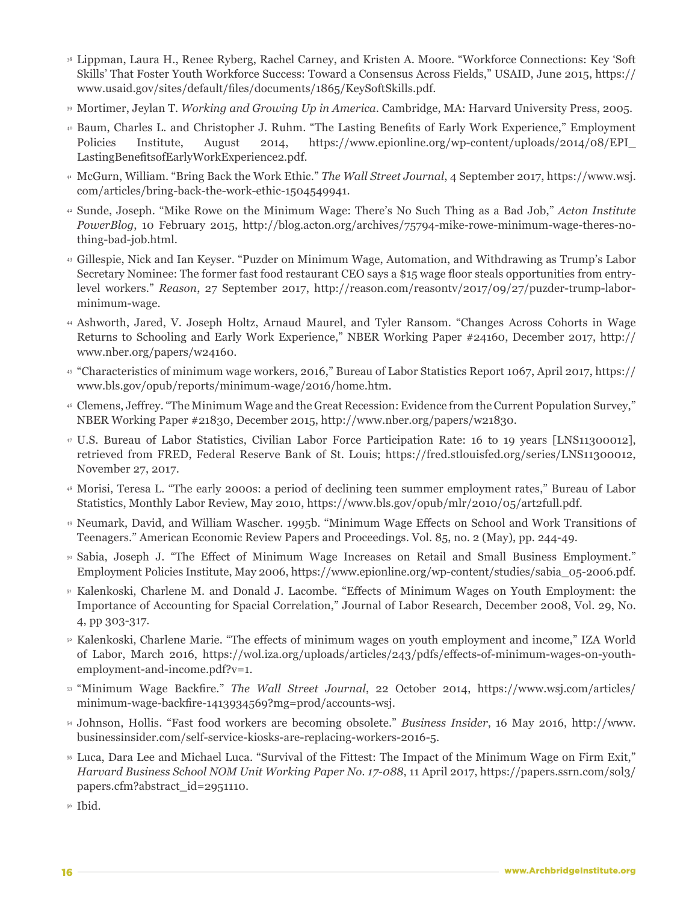- <sup>38</sup> Lippman, Laura H., Renee Ryberg, Rachel Carney, and Kristen A. Moore. "Workforce Connections: Key 'Soft Skills' That Foster Youth Workforce Success: Toward a Consensus Across Fields," USAID, June 2015, https:// www.usaid.gov/sites/default/files/documents/1865/KeySoftSkills.pdf.
- <sup>39</sup> Mortimer, Jeylan T. *Working and Growing Up in America*. Cambridge, MA: Harvard University Press, 2005.
- <sup>40</sup> Baum, Charles L. and Christopher J. Ruhm. "The Lasting Benefits of Early Work Experience," Employment Policies Institute, August 2014, https://www.epionline.org/wp-content/uploads/2014/08/EPI\_ LastingBenefitsofEarlyWorkExperience2.pdf.
- <sup>41</sup> McGurn, William. "Bring Back the Work Ethic." *The Wall Street Journal*, 4 September 2017, https://www.wsj. com/articles/bring-back-the-work-ethic-1504549941.
- <sup>42</sup> Sunde, Joseph. "Mike Rowe on the Minimum Wage: There's No Such Thing as a Bad Job," *Acton Institute PowerBlog*, 10 February 2015, http://blog.acton.org/archives/75794-mike-rowe-minimum-wage-theres-nothing-bad-job.html.
- <sup>43</sup> Gillespie, Nick and Ian Keyser. "Puzder on Minimum Wage, Automation, and Withdrawing as Trump's Labor Secretary Nominee: The former fast food restaurant CEO says a \$15 wage floor steals opportunities from entrylevel workers." *Reason*, 27 September 2017, http://reason.com/reasontv/2017/09/27/puzder-trump-laborminimum-wage.
- <sup>44</sup> Ashworth, Jared, V. Joseph Holtz, Arnaud Maurel, and Tyler Ransom. "Changes Across Cohorts in Wage Returns to Schooling and Early Work Experience," NBER Working Paper #24160, December 2017, http:// www.nber.org/papers/w24160.
- <sup>45</sup> "Characteristics of minimum wage workers, 2016," Bureau of Labor Statistics Report 1067, April 2017, https:// www.bls.gov/opub/reports/minimum-wage/2016/home.htm.
- <sup>46</sup> Clemens, Jeffrey. "The Minimum Wage and the Great Recession: Evidence from the Current Population Survey," NBER Working Paper #21830, December 2015, http://www.nber.org/papers/w21830.
- <sup>47</sup> U.S. Bureau of Labor Statistics, Civilian Labor Force Participation Rate: 16 to 19 years [LNS11300012], retrieved from FRED, Federal Reserve Bank of St. Louis; https://fred.stlouisfed.org/series/LNS11300012, November 27, 2017.
- <sup>48</sup> Morisi, Teresa L. "The early 2000s: a period of declining teen summer employment rates," Bureau of Labor Statistics, Monthly Labor Review, May 2010, https://www.bls.gov/opub/mlr/2010/05/art2full.pdf.
- <sup>49</sup> Neumark, David, and William Wascher. 1995b. "Minimum Wage Effects on School and Work Transitions of Teenagers." American Economic Review Papers and Proceedings. Vol. 85, no. 2 (May), pp. 244-49.
- <sup>50</sup> Sabia, Joseph J. "The Effect of Minimum Wage Increases on Retail and Small Business Employment." Employment Policies Institute, May 2006, https://www.epionline.org/wp-content/studies/sabia\_05-2006.pdf.
- <sup>51</sup> Kalenkoski, Charlene M. and Donald J. Lacombe. "Effects of Minimum Wages on Youth Employment: the Importance of Accounting for Spacial Correlation," Journal of Labor Research, December 2008, Vol. 29, No. 4, pp 303-317.
- <sup>52</sup> Kalenkoski, Charlene Marie. "The effects of minimum wages on youth employment and income," IZA World of Labor, March 2016, https://wol.iza.org/uploads/articles/243/pdfs/effects-of-minimum-wages-on-youthemployment-and-income.pdf?v=1.
- <sup>53</sup> "Minimum Wage Backfire." *The Wall Street Journal*, 22 October 2014, https://www.wsj.com/articles/ minimum-wage-backfire-1413934569?mg=prod/accounts-wsj.
- <sup>54</sup> Johnson, Hollis. "Fast food workers are becoming obsolete." *Business Insider*, 16 May 2016, http://www. businessinsider.com/self-service-kiosks-are-replacing-workers-2016-5.
- <sup>55</sup> Luca, Dara Lee and Michael Luca. "Survival of the Fittest: The Impact of the Minimum Wage on Firm Exit," *Harvard Business School NOM Unit Working Paper No. 17-088*, 11 April 2017, https://papers.ssrn.com/sol3/ papers.cfm?abstract\_id=2951110.
- <sup>56</sup> Ibid.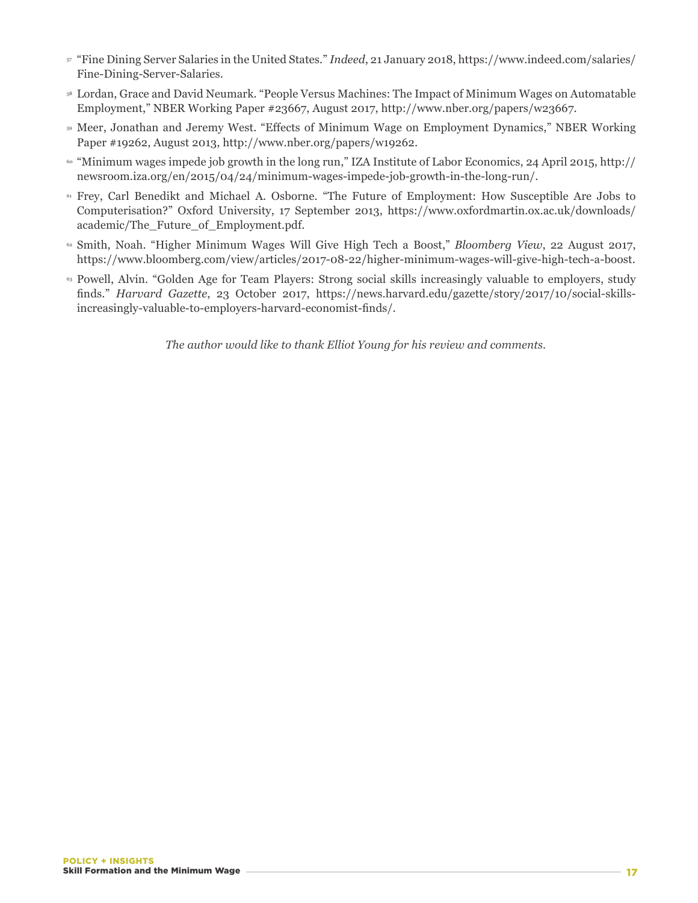- <sup>57</sup> "Fine Dining Server Salaries in the United States." *Indeed*, 21 January 2018, https://www.indeed.com/salaries/ Fine-Dining-Server-Salaries.
- <sup>58</sup> Lordan, Grace and David Neumark. "People Versus Machines: The Impact of Minimum Wages on Automatable Employment," NBER Working Paper #23667, August 2017, http://www.nber.org/papers/w23667.
- <sup>59</sup> Meer, Jonathan and Jeremy West. "Effects of Minimum Wage on Employment Dynamics," NBER Working Paper #19262, August 2013, http://www.nber.org/papers/w19262.
- <sup>60</sup> "Minimum wages impede job growth in the long run," IZA Institute of Labor Economics, 24 April 2015, http:// newsroom.iza.org/en/2015/04/24/minimum-wages-impede-job-growth-in-the-long-run/.
- <sup>61</sup> Frey, Carl Benedikt and Michael A. Osborne. "The Future of Employment: How Susceptible Are Jobs to Computerisation?" Oxford University, 17 September 2013, https://www.oxfordmartin.ox.ac.uk/downloads/ academic/The\_Future\_of\_Employment.pdf.
- <sup>62</sup> Smith, Noah. "Higher Minimum Wages Will Give High Tech a Boost," *Bloomberg View*, 22 August 2017, https://www.bloomberg.com/view/articles/2017-08-22/higher-minimum-wages-will-give-high-tech-a-boost.
- <sup>63</sup> Powell, Alvin. "Golden Age for Team Players: Strong social skills increasingly valuable to employers, study finds." *Harvard Gazette*, 23 October 2017, https://news.harvard.edu/gazette/story/2017/10/social-skillsincreasingly-valuable-to-employers-harvard-economist-finds/.

*The author would like to thank Elliot Young for his review and comments.*